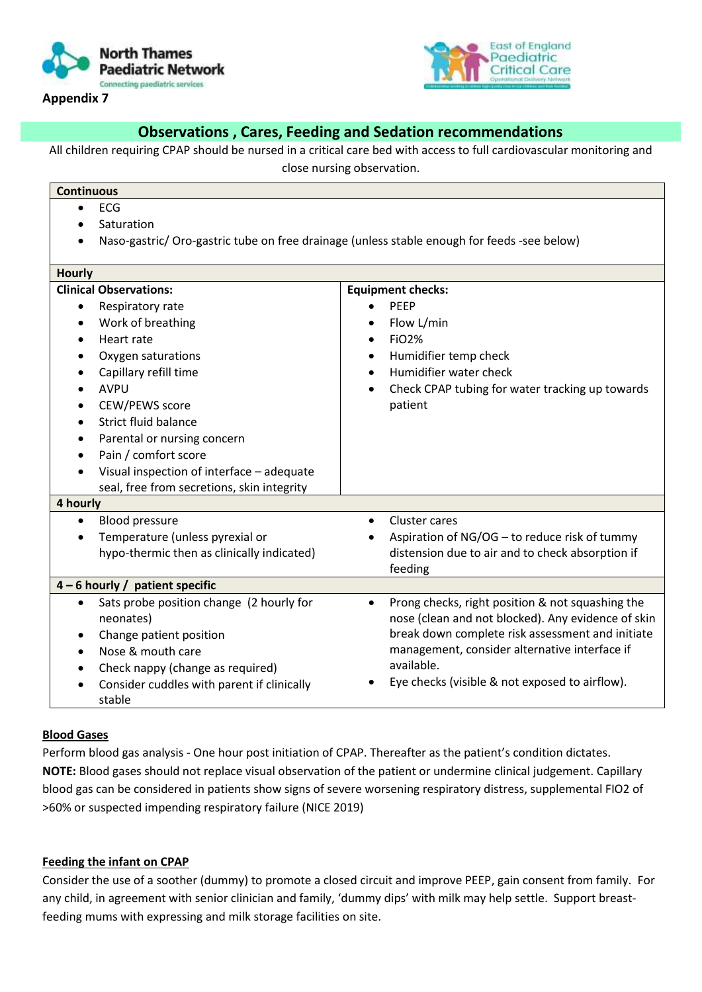

**Appendix 7** 



## **Observations , Cares, Feeding and Sedation recommendations**

All children requiring CPAP should be nursed in a critical care bed with access to full cardiovascular monitoring and

close nursing observation.

| <b>Continuous</b>                                                                           |                                                                                                                     |  |
|---------------------------------------------------------------------------------------------|---------------------------------------------------------------------------------------------------------------------|--|
| <b>ECG</b><br>$\bullet$                                                                     |                                                                                                                     |  |
| Saturation                                                                                  |                                                                                                                     |  |
| Naso-gastric/ Oro-gastric tube on free drainage (unless stable enough for feeds -see below) |                                                                                                                     |  |
| <b>Hourly</b>                                                                               |                                                                                                                     |  |
| <b>Clinical Observations:</b>                                                               | <b>Equipment checks:</b>                                                                                            |  |
| Respiratory rate<br>$\bullet$                                                               | <b>PEEP</b>                                                                                                         |  |
| Work of breathing                                                                           | Flow L/min                                                                                                          |  |
| Heart rate<br>$\bullet$                                                                     | <b>FiO2%</b><br>$\bullet$                                                                                           |  |
| Oxygen saturations                                                                          | Humidifier temp check<br>$\bullet$                                                                                  |  |
| Capillary refill time                                                                       | Humidifier water check                                                                                              |  |
| <b>AVPU</b>                                                                                 | Check CPAP tubing for water tracking up towards                                                                     |  |
| CEW/PEWS score                                                                              | patient                                                                                                             |  |
| <b>Strict fluid balance</b>                                                                 |                                                                                                                     |  |
| Parental or nursing concern<br>$\bullet$                                                    |                                                                                                                     |  |
| Pain / comfort score<br>$\bullet$                                                           |                                                                                                                     |  |
| Visual inspection of interface - adequate                                                   |                                                                                                                     |  |
| seal, free from secretions, skin integrity                                                  |                                                                                                                     |  |
| 4 hourly                                                                                    |                                                                                                                     |  |
| <b>Blood pressure</b><br>$\bullet$                                                          | Cluster cares                                                                                                       |  |
| Temperature (unless pyrexial or                                                             | Aspiration of NG/OG - to reduce risk of tummy                                                                       |  |
| hypo-thermic then as clinically indicated)                                                  | distension due to air and to check absorption if                                                                    |  |
|                                                                                             | feeding                                                                                                             |  |
| 4 - 6 hourly / patient specific                                                             |                                                                                                                     |  |
| Sats probe position change (2 hourly for<br>$\bullet$<br>neonates)                          | Prong checks, right position & not squashing the<br>$\bullet$<br>nose (clean and not blocked). Any evidence of skin |  |
| Change patient position<br>$\bullet$                                                        | break down complete risk assessment and initiate                                                                    |  |
| Nose & mouth care                                                                           | management, consider alternative interface if                                                                       |  |
| Check nappy (change as required)                                                            | available.                                                                                                          |  |
| Consider cuddles with parent if clinically<br>$\bullet$                                     | Eye checks (visible & not exposed to airflow).                                                                      |  |
| stable                                                                                      |                                                                                                                     |  |

## **Blood Gases**

Perform blood gas analysis - One hour post initiation of CPAP. Thereafter as the patient's condition dictates. **NOTE:** Blood gases should not replace visual observation of the patient or undermine clinical judgement. Capillary blood gas can be considered in patients show signs of severe worsening respiratory distress, supplemental FIO2 of >60% or suspected impending respiratory failure (NICE 2019)

## **Feeding the infant on CPAP**

Consider the use of a soother (dummy) to promote a closed circuit and improve PEEP, gain consent from family. For any child, in agreement with senior clinician and family, 'dummy dips' with milk may help settle. Support breastfeeding mums with expressing and milk storage facilities on site.